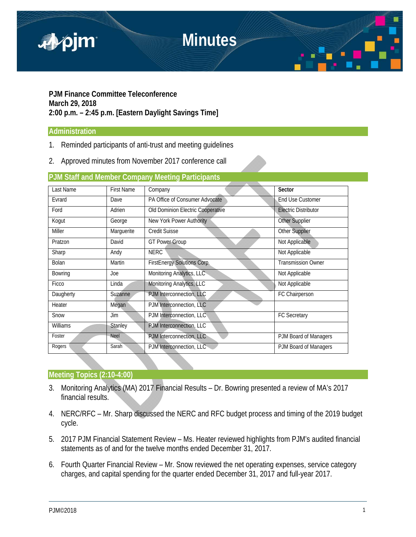

### **PJM Finance Committee Teleconference March 29, 2018 2:00 p.m. – 2:45 p.m. [Eastern Daylight Savings Time]**

#### **Administration**

- 1. Reminded participants of anti-trust and meeting guidelines
- 2. Approved minutes from November 2017 conference call

#### **PJM Staff and Member Company Meeting Participants**

| Last Name     | <b>First Name</b> | Company                            | Sector                      |
|---------------|-------------------|------------------------------------|-----------------------------|
| Evrard        | Dave              | PA Office of Consumer Advocate     | End Use Customer            |
| Ford          | Adrien            | Old Dominion Electric Cooperative  | <b>Electric Distributor</b> |
| Kogut         | George            | New York Power Authority           | Other Supplier              |
| <b>Miller</b> | Marguerite        | <b>Credit Suisse</b>               | Other Supplier              |
| Pratzon       | David             | <b>GT Power Group</b>              | Not Applicable              |
| Sharp         | Andy              | <b>NERC</b>                        | Not Applicable              |
| Bolan         | Martin            | <b>FirstEnergy Solutions Corp.</b> | <b>Transmission Owner</b>   |
| Bowring       | Joe               | Monitoring Analytics, LLC          | Not Applicable              |
| Ficco         | Linda             | Monitoring Analytics, LLC          | Not Applicable              |
| Daugherty     | Suzanne           | PJM Interconnection, LLC           | FC Chairperson              |
| Heater        | Megan             | PJM Interconnection, LLC           |                             |
| Snow          | Jim               | PJM Interconnection, LLC           | <b>FC Secretary</b>         |
| Williams      | <b>Stanley</b>    | PJM Interconnection, LLC           |                             |
| Foster        | <b>Neel</b>       | PJM Interconnection, LLC           | PJM Board of Managers       |
| Rogers        | Sarah             | PJM Interconnection, LLC           | PJM Board of Managers       |

#### **Meeting Topics (2:10-4:00)**

- 3. Monitoring Analytics (MA) 2017 Financial Results Dr. Bowring presented a review of MA's 2017 financial results.
- 4. NERC/RFC Mr. Sharp discussed the NERC and RFC budget process and timing of the 2019 budget cycle.
- 5. 2017 PJM Financial Statement Review Ms. Heater reviewed highlights from PJM's audited financial statements as of and for the twelve months ended December 31, 2017.
- 6. Fourth Quarter Financial Review Mr. Snow reviewed the net operating expenses, service category charges, and capital spending for the quarter ended December 31, 2017 and full-year 2017.